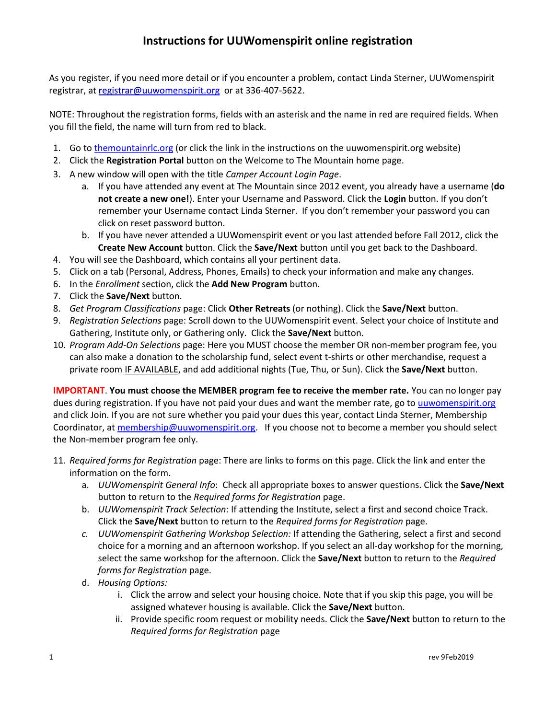## **Instructions for UUWomenspirit online registration**

As you register, if you need more detail or if you encounter a problem, contact Linda Sterner, UUWomenspirit registrar, a[t](mailto:registrar@uuwomenspirit.org) registrar@uuwomenspirit.org or at [336-407-5622.](tel:336-407-5622)

NOTE: Throughout the registration forms, fields with an asterisk and the name in red are required fields. When you fill the field, the name will turn from red to black.

- 1. Go t[o themountainrlc.org](http://themountainrlc.org/) (or click the link in the instructions on the uuwomenspirit.org website)
- 2. Click the **Registration Portal** button on the Welcome to The Mountain home page.
- 3. A new window will open with the title *Camper Account Login Page*.
	- a. If you have attended any event at The Mountain since 2012 event, you already have a username (**do not create a new one!**). Enter your Username and Password. Click the **Login** button. If you don't remember your Username contact Linda Sterner. If you don't remember your password you can click on reset password button.
	- b. If you have never attended a UUWomenspirit event or you last attended before Fall 2012, click the **Create New Account** button. Click the **Save/Next** button until you get back to the Dashboard.
- 4. You will see the Dashboard, which contains all your pertinent data.
- 5. Click on a tab (Personal, Address, Phones, Emails) to check your information and make any changes.
- 6. In the *Enrollment* section, click the **Add New Program** button.
- 7. Click the **Save/Next** button.
- 8. *Get Program Classifications* page: Click **Other Retreats** (or nothing). Click the **Save/Next** button.
- 9. *Registration Selections* page: Scroll down to the UUWomenspirit event. Select your choice of Institute and Gathering, Institute only, or Gathering only. Click the **Save/Next** button.
- 10. *Program Add-On Selections* page: Here you MUST choose the member OR non-member program fee, you can also make a donation to the scholarship fund, select event t-shirts or other merchandise, request a private room IF AVAILABLE, and add additional nights (Tue, Thu, or Sun). Click the **Save/Next** button.

**IMPORTANT**. **You must choose the MEMBER program fee to receive the member rate.** You can no longer pay dues during registration. If you have not paid your dues and want the member rate, go to [uuwomenspirit.org](http://www.uuwomenspirit.org/join) and click Join. If you are not sure whether you paid your dues this year, contact Linda Sterner, Membership Coordinator, at [membership@uuwomenspirit.org.](mailto:membership@uuwomenspirit.org) If you choose not to become a member you should select the Non-member program fee only.

- 11. *Required forms for Registration* page: There are links to forms on this page. Click the link and enter the information on the form.
	- a. *UUWomenspirit General Info*: Check all appropriate boxes to answer questions. Click the **Save/Next** button to return to the *Required forms for Registration* page.
	- b. *UUWomenspirit Track Selection*: If attending the Institute, select a first and second choice Track. Click the **Save/Next** button to return to the *Required forms for Registration* page.
	- *c. UUWomenspirit Gathering Workshop Selection:* If attending the Gathering, select a first and second choice for a morning and an afternoon workshop. If you select an all-day workshop for the morning, select the same workshop for the afternoon. Click the **Save/Next** button to return to the *Required forms for Registration* page.
	- d. *Housing Options:* 
		- i. Click the arrow and select your housing choice. Note that if you skip this page, you will be assigned whatever housing is available. Click the **Save/Next** button.
		- ii. Provide specific room request or mobility needs. Click the **Save/Next** button to return to the *Required forms for Registration* page